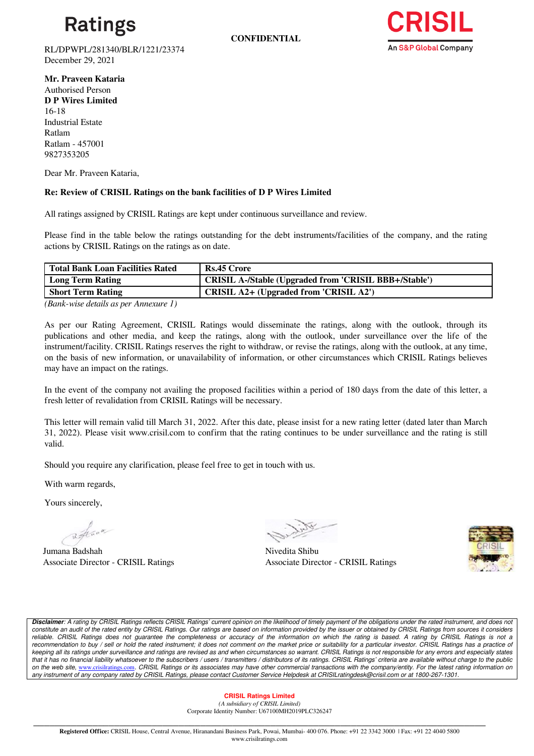

**CONFIDENTIAL**



RL/DPWPL/281340/BLR/1221/23374 December 29, 2021

**Mr. Praveen Kataria**  Authorised Person **D P Wires Limited** 16-18 Industrial Estate Ratlam Ratlam - 457001 9827353205

Dear Mr. Praveen Kataria,

## **Re: Review of CRISIL Ratings on the bank facilities of D P Wires Limited**

All ratings assigned by CRISIL Ratings are kept under continuous surveillance and review.

Please find in the table below the ratings outstanding for the debt instruments/facilities of the company, and the rating actions by CRISIL Ratings on the ratings as on date.

| <b>Total Bank Loan Facilities Rated</b>                                                                                                                                                                                                                                                                            | Rs.45 Crore                                                  |
|--------------------------------------------------------------------------------------------------------------------------------------------------------------------------------------------------------------------------------------------------------------------------------------------------------------------|--------------------------------------------------------------|
| Long Term Rating                                                                                                                                                                                                                                                                                                   | <b>CRISIL A-/Stable (Upgraded from 'CRISIL BBB+/Stable')</b> |
| <b>Short Term Rating</b>                                                                                                                                                                                                                                                                                           | CRISIL A2+ (Upgraded from 'CRISIL A2')                       |
| $\sqrt{2}$ $\sqrt{2}$ $\sqrt{2}$ $\sqrt{2}$ $\sqrt{2}$ $\sqrt{2}$ $\sqrt{2}$ $\sqrt{2}$ $\sqrt{2}$ $\sqrt{2}$ $\sqrt{2}$ $\sqrt{2}$ $\sqrt{2}$ $\sqrt{2}$ $\sqrt{2}$ $\sqrt{2}$ $\sqrt{2}$ $\sqrt{2}$ $\sqrt{2}$ $\sqrt{2}$ $\sqrt{2}$ $\sqrt{2}$ $\sqrt{2}$ $\sqrt{2}$ $\sqrt{2}$ $\sqrt{2}$ $\sqrt{2}$ $\sqrt{2$ |                                                              |

*(Bank-wise details as per Annexure 1)*

As per our Rating Agreement, CRISIL Ratings would disseminate the ratings, along with the outlook, through its publications and other media, and keep the ratings, along with the outlook, under surveillance over the life of the instrument/facility. CRISIL Ratings reserves the right to withdraw, or revise the ratings, along with the outlook, at any time, on the basis of new information, or unavailability of information, or other circumstances which CRISIL Ratings believes may have an impact on the ratings.

In the event of the company not availing the proposed facilities within a period of 180 days from the date of this letter, a fresh letter of revalidation from CRISIL Ratings will be necessary.

This letter will remain valid till March 31, 2022. After this date, please insist for a new rating letter (dated later than March 31, 2022). Please visit www.crisil.com to confirm that the rating continues to be under surveillance and the rating is still valid.

Should you require any clarification, please feel free to get in touch with us.

With warm regards,

Yours sincerely,

aflace

Jumana Badshah Nivedita Shibu

Associate Director - CRISIL Ratings Associate Director - CRISIL Ratings



*Disclaimer: A rating by CRISIL Ratings reflects CRISIL Ratings' current opinion on the likelihood of timely payment of the obligations under the rated instrument, and does not*  constitute an audit of the rated entity by CRISIL Ratings. Our ratings are based on information provided by the issuer or obtained by CRISIL Ratings from sources it considers reliable. CRISIL Ratings does not guarantee the completeness or accuracy of the information on which the rating is based. A rating by CRISIL Ratings is not a recommendation to buy / sell or hold the rated instrument; it does not comment on the market price or suitability for a particular investor. CRISIL Ratings has a practice of *keeping all its ratings under surveillance and ratings are revised as and when circumstances so warrant. CRISIL Ratings is not responsible for any errors and especially states that it has no financial liability whatsoever to the subscribers / users / transmitters / distributors of its ratings. CRISIL Ratings' criteria are available without charge to the public on the web site,* [www.crisilratings.com](https://ind01.safelinks.protection.outlook.com/?url=http%3A%2F%2Fwww.crisilratings.com%2F&data=04%7C01%7CSuryanarayana.Gude%40ext-crisil.com%7Cc842be47f1484f5bc10e08d9c6d8a581%7C4d8b04bf7a7c48a0b6e338da5008297e%7C0%7C0%7C637759456050302254%7CUnknown%7CTWFpbGZsb3d8eyJWIjoiMC4wLjAwMDAiLCJQIjoiV2luMzIiLCJBTiI6Ik1haWwiLCJXVCI6Mn0%3D%7C3000&sdata=W4gV%2Bkv7H2pvVaLCh5dLbsW%2FZ%2FgWdylb05bJkP7Qz8A%3D&reserved=0)*. CRISIL Ratings or its associates may have other commercial transactions with the company/entity. For the latest rating information on any instrument of any company rated by CRISIL Ratings, please contact Customer Service Helpdesk at CRISILratingdesk@crisil.com or at 1800-267-1301.*

### **CRISIL Ratings Limited**

*(A subsidiary of CRISIL Limited)*  Corporate Identity Number: U67100MH2019PLC326247